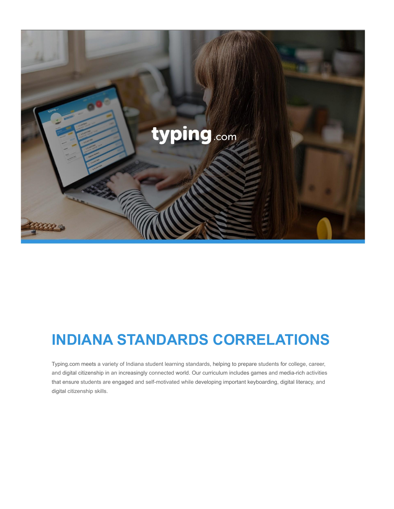

# **INDIANA STANDARDS CORRELATIONS**

Typing.com meets a variety of Indiana student learning standards, helping to prepare students for college, career, and digital citizenship in an increasingly connected world. Our curriculum includes games and media-rich activities that ensure students are engaged and self-motivated while developing important keyboarding, digital literacy, and digital citizenship skills.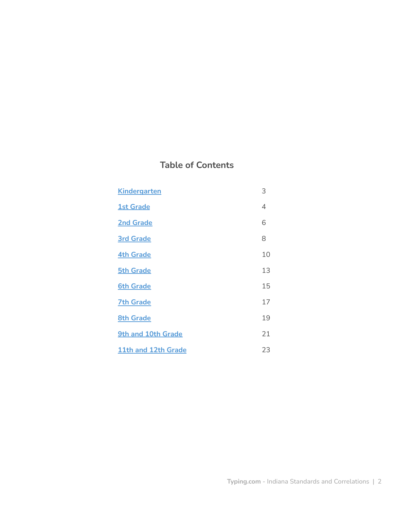# **Table of Contents**

| <b>Kindergarten</b> | 3  |
|---------------------|----|
| <b>1st Grade</b>    | 4  |
| <b>2nd Grade</b>    | 6  |
| <b>3rd Grade</b>    | 8  |
| <b>4th Grade</b>    | 10 |
| <b>5th Grade</b>    | 13 |
| <b>6th Grade</b>    | 15 |
| <b>7th Grade</b>    | 17 |
| <b>8th Grade</b>    | 19 |
| 9th and 10th Grade  | 21 |
| 11th and 12th Grade | 23 |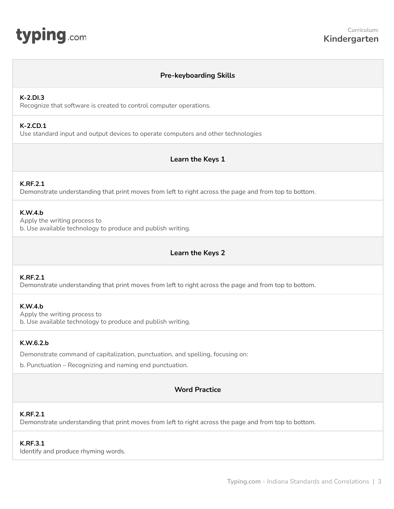## **Pre-keyboarding Skills**

#### <span id="page-2-0"></span>**K-2.DI.3**

Recognize that software is created to control computer operations.

## **K-2.CD.1**

Use standard input and output devices to operate computers and other technologies

## **Learn the Keys 1**

## **K.RF.2.1**

Demonstrate understanding that print moves from left to right across the page and from top to bottom.

## **K.W.4.b**

Apply the writing process to b. Use available technology to produce and publish writing.

## **Learn the Keys 2**

## **K.RF.2.1**

Demonstrate understanding that print moves from left to right across the page and from top to bottom.

#### **K.W.4.b**

Apply the writing process to b. Use available technology to produce and publish writing.

## **K.W.6.2.b**

Demonstrate command of capitalization, punctuation, and spelling, focusing on:

b. Punctuation – Recognizing and naming end punctuation.

## **Word Practice**

## **K.RF.2.1**

Demonstrate understanding that print moves from left to right across the page and from top to bottom.

#### **K.RF.3.1**

Identify and produce rhyming words.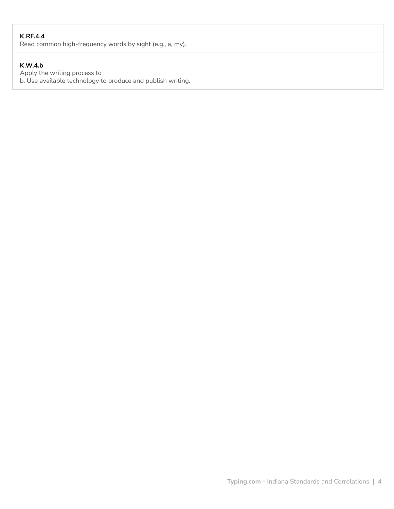# **K.RF.4.4**

Read common high-frequency words by sight (e.g., a, my).

# **K.W.4.b**

Apply the writing process to b. Use available technology to produce and publish writing.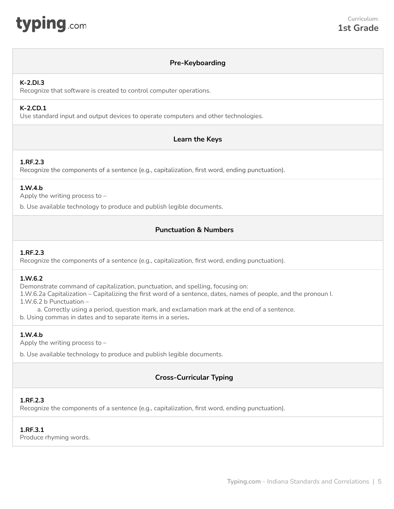<span id="page-4-0"></span>

## **Pre-Keyboarding**

## **K-2.DI.3**

Recognize that software is created to control computer operations.

## **K-2.CD.1**

Use standard input and output devices to operate computers and other technologies.

# **Learn the Keys**

## **1.RF.2.3**

Recognize the components of a sentence (e.g., capitalization, first word, ending punctuation).

## **1.W.4.b**

Apply the writing process to –

b. Use available technology to produce and publish legible documents.

# **Punctuation & Numbers**

#### **1.RF.2.3**

Recognize the components of a sentence (e.g., capitalization, first word, ending punctuation).

#### **1.W.6.2**

Demonstrate command of capitalization, punctuation, and spelling, focusing on: 1.W.6.2a Capitalization – Capitalizing the first word of a sentence, dates, names of people, and the pronoun I.

1.W.6.2 b Punctuation –

a. Correctly using a period, question mark, and exclamation mark at the end of a sentence.

b. Using commas in dates and to separate items in a series**.**

## **1.W.4.b**

Apply the writing process to –

b. Use available technology to produce and publish legible documents.

## **Cross-Curricular Typing**

## **1.RF.2.3**

Recognize the components of a sentence (e.g., capitalization, first word, ending punctuation).

#### **1.RF.3.1**

Produce rhyming words.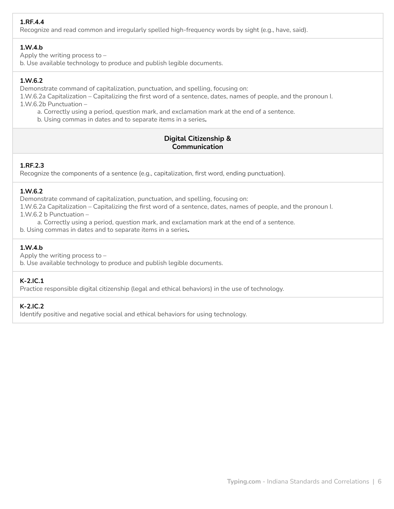# **1.RF.4.4**

Recognize and read common and irregularly spelled high-frequency words by sight (e.g., have, said).

# **1.W.4.b**

Apply the writing process to –

b. Use available technology to produce and publish legible documents.

# **1.W.6.2**

Demonstrate command of capitalization, punctuation, and spelling, focusing on:

1.W.6.2a Capitalization – Capitalizing the first word of a sentence, dates, names of people, and the pronoun I. 1.W.6.2b Punctuation –

a. Correctly using a period, question mark, and exclamation mark at the end of a sentence.

b. Using commas in dates and to separate items in a series**.**

# **Digital Citizenship & Communication**

## **1.RF.2.3**

Recognize the components of a sentence (e.g., capitalization, first word, ending punctuation).

## **1.W.6.2**

Demonstrate command of capitalization, punctuation, and spelling, focusing on:

1.W.6.2a Capitalization – Capitalizing the first word of a sentence, dates, names of people, and the pronoun I. 1.W.6.2 b Punctuation –

a. Correctly using a period, question mark, and exclamation mark at the end of a sentence.

b. Using commas in dates and to separate items in a series**.**

## **1.W.4.b**

Apply the writing process to –

b. Use available technology to produce and publish legible documents.

# **K-2.IC.1**

Practice responsible digital citizenship (legal and ethical behaviors) in the use of technology.

## **K-2.IC.2**

Identify positive and negative social and ethical behaviors for using technology.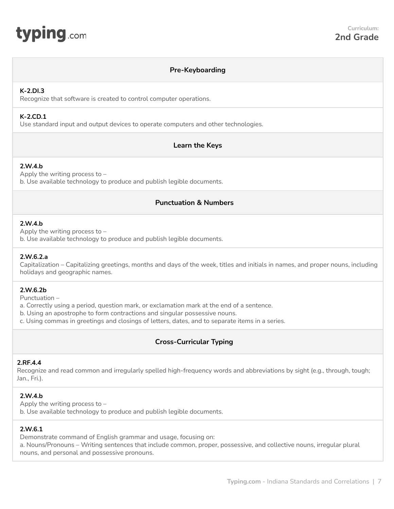<span id="page-6-0"></span>

#### **Pre-Keyboarding**

#### **K-2.DI.3**

Recognize that software is created to control computer operations.

## **K-2.CD.1**

Use standard input and output devices to operate computers and other technologies.

## **Learn the Keys**

#### **2.W.4.b**

Apply the writing process to – b. Use available technology to produce and publish legible documents.

#### **Punctuation & Numbers**

#### **2.W.4.b**

Apply the writing process to – b. Use available technology to produce and publish legible documents.

#### **2.W.6.2.a**

Capitalization – Capitalizing greetings, months and days of the week, titles and initials in names, and proper nouns, including holidays and geographic names.

## **2.W.6.2b**

Punctuation –

a. Correctly using a period, question mark, or exclamation mark at the end of a sentence.

b. Using an apostrophe to form contractions and singular possessive nouns.

c. Using commas in greetings and closings of letters, dates, and to separate items in a series.

## **Cross-Curricular Typing**

#### **2.RF.4.4**

Recognize and read common and irregularly spelled high-frequency words and abbreviations by sight (e.g., through, tough; Jan., Fri.).

## **2.W.4.b**

Apply the writing process to – b. Use available technology to produce and publish legible documents.

#### **2.W.6.1**

Demonstrate command of English grammar and usage, focusing on: a. Nouns/Pronouns – Writing sentences that include common, proper, possessive, and collective nouns, irregular plural nouns, and personal and possessive pronouns.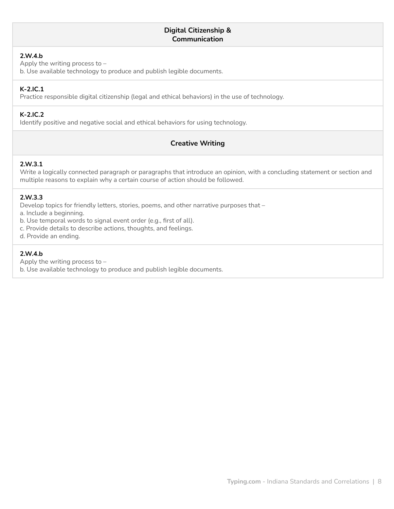## **Digital Citizenship & Communication**

## **2.W.4.b**

Apply the writing process to –

b. Use available technology to produce and publish legible documents.

## **K-2.IC.1**

Practice responsible digital citizenship (legal and ethical behaviors) in the use of technology.

## **K-2.IC.2**

Identify positive and negative social and ethical behaviors for using technology.

## **Creative Writing**

## **2.W.3.1**

Write a logically connected paragraph or paragraphs that introduce an opinion, with a concluding statement or section and multiple reasons to explain why a certain course of action should be followed.

## **2.W.3.3**

Develop topics for friendly letters, stories, poems, and other narrative purposes that –

a. Include a beginning.

b. Use temporal words to signal event order (e.g., first of all).

c. Provide details to describe actions, thoughts, and feelings.

d. Provide an ending.

## **2.W.4.b**

Apply the writing process to –

b. Use available technology to produce and publish legible documents.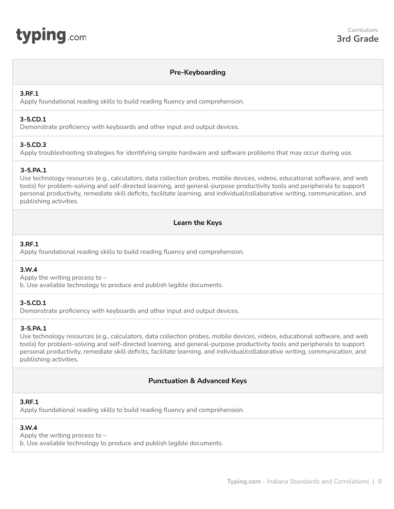## **Pre-Keyboarding**

## <span id="page-8-0"></span>**3.RF.1**

Apply foundational reading skills to build reading fluency and comprehension.

#### **3-5.CD.1**

Demonstrate proficiency with keyboards and other input and output devices.

## **3-5.CD.3**

Apply troubleshooting strategies for identifying simple hardware and software problems that may occur during use.

## **3-5.PA.1**

Use technology resources (e.g., calculators, data collection probes, mobile devices, videos, educational software, and web tools) for problem-solving and self-directed learning, and general-purpose productivity tools and peripherals to support personal productivity, remediate skill deficits, facilitate learning, and individual/collaborative writing, communication, and publishing activities.

# **Learn the Keys**

## **3.RF.1**

Apply foundational reading skills to build reading fluency and comprehension.

## **3.W.4**

Apply the writing process to –

b. Use available technology to produce and publish legible documents.

#### **3-5.CD.1**

Demonstrate proficiency with keyboards and other input and output devices.

## **3-5.PA.1**

Use technology resources (e.g., calculators, data collection probes, mobile devices, videos, educational software, and web tools) for problem-solving and self-directed learning, and general-purpose productivity tools and peripherals to support personal productivity, remediate skill deficits, facilitate learning, and individual/collaborative writing, communication, and publishing activities.

## **Punctuation & Advanced Keys**

#### **3.RF.1**

Apply foundational reading skills to build reading fluency and comprehension.

## **3.W.4**

Apply the writing process to – b. Use available technology to produce and publish legible documents.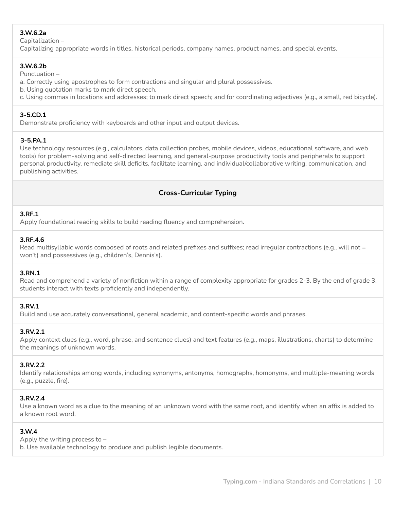# **3.W.6.2a**

Capitalization –

Capitalizing appropriate words in titles, historical periods, company names, product names, and special events.

#### **3.W.6.2b**

Punctuation –

- a. Correctly using apostrophes to form contractions and singular and plural possessives.
- b. Using quotation marks to mark direct speech.
- c. Using commas in locations and addresses; to mark direct speech; and for coordinating adjectives (e.g., a small, red bicycle).

## **3-5.CD.1**

Demonstrate proficiency with keyboards and other input and output devices.

## **3-5.PA.1**

Use technology resources (e.g., calculators, data collection probes, mobile devices, videos, educational software, and web tools) for problem-solving and self-directed learning, and general-purpose productivity tools and peripherals to support personal productivity, remediate skill deficits, facilitate learning, and individual/collaborative writing, communication, and publishing activities.

# **Cross-Curricular Typing**

## **3.RF.1**

Apply foundational reading skills to build reading fluency and comprehension.

## **3.RF.4.6**

Read multisyllabic words composed of roots and related prefixes and suffixes; read irregular contractions (e.g., will not = won't) and possessives (e.g., children's, Dennis's).

## **3.RN.1**

Read and comprehend a variety of nonfiction within a range of complexity appropriate for grades 2-3. By the end of grade 3, students interact with texts proficiently and independently.

## **3.RV.1**

Build and use accurately conversational, general academic, and content-specific words and phrases.

## **3.RV.2.1**

Apply context clues (e.g., word, phrase, and sentence clues) and text features (e.g., maps, illustrations, charts) to determine the meanings of unknown words.

## **3.RV.2.2**

Identify relationships among words, including synonyms, antonyms, homographs, homonyms, and multiple-meaning words (e.g., puzzle, fire).

## **3.RV.2.4**

Use a known word as a clue to the meaning of an unknown word with the same root, and identify when an affix is added to a known root word.

## **3.W.4**

Apply the writing process to –

b. Use available technology to produce and publish legible documents.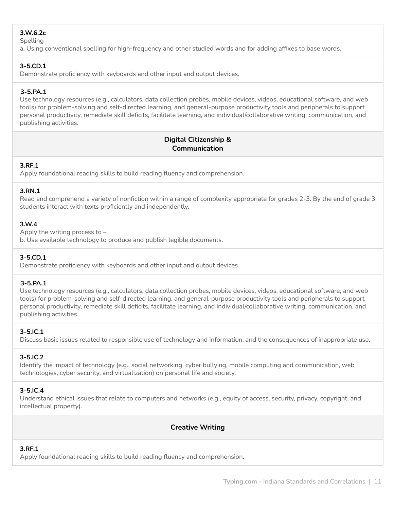## **3.W.6.2c**

Spelling –

a. Using conventional spelling for high-frequency and other studied words and for adding affixes to base words.

## **3-5.CD.1**

Demonstrate proficiency with keyboards and other input and output devices.

## **3-5.PA.1**

Use technology resources (e.g., calculators, data collection probes, mobile devices, videos, educational software, and web tools) for problem-solving and self-directed learning, and general-purpose productivity tools and peripherals to support personal productivity, remediate skill deficits, facilitate learning, and individual/collaborative writing, communication, and publishing activities.

# **Digital Citizenship & Communication**

## **3.RF.1**

Apply foundational reading skills to build reading fluency and comprehension.

## **3.RN.1**

Read and comprehend a variety of nonfiction within a range of complexity appropriate for grades 2-3. By the end of grade 3, students interact with texts proficiently and independently.

## **3.W.4**

Apply the writing process to –

b. Use available technology to produce and publish legible documents.

## **3-5.CD.1**

Demonstrate proficiency with keyboards and other input and output devices.

#### **3-5.PA.1**

Use technology resources (e.g., calculators, data collection probes, mobile devices, videos, educational software, and web tools) for problem-solving and self-directed learning, and general-purpose productivity tools and peripherals to support personal productivity, remediate skill deficits, facilitate learning, and individual/collaborative writing, communication, and publishing activities.

#### **3-5.IC.1**

Discuss basic issues related to responsible use of technology and information, and the consequences of inappropriate use.

## **3-5.IC.2**

Identify the impact of technology (e.g., social networking, cyber bullying, mobile computing and communication, web technologies, cyber security, and virtualization) on personal life and society.

## **3-5.IC.4**

Understand ethical issues that relate to computers and networks (e.g., equity of access, security, privacy, copyright, and intellectual property).

## **Creative Writing**

# **3.RF.1**

Apply foundational reading skills to build reading fluency and comprehension.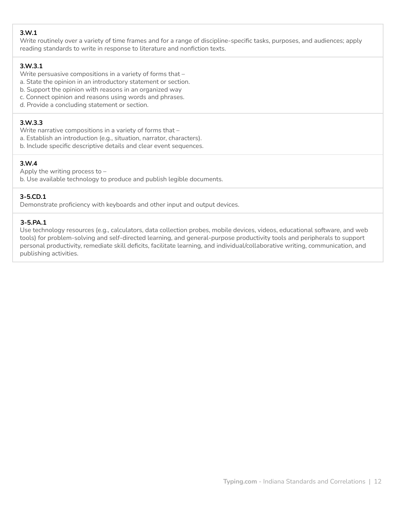## **3.W.1**

Write routinely over a variety of time frames and for a range of discipline-specific tasks, purposes, and audiences; apply reading standards to write in response to literature and nonfiction texts.

## **3.W.3.1**

Write persuasive compositions in a variety of forms that –

- a. State the opinion in an introductory statement or section.
- b. Support the opinion with reasons in an organized way
- c. Connect opinion and reasons using words and phrases.
- d. Provide a concluding statement or section.

## **3.W.3.3**

Write narrative compositions in a variety of forms that –

- a. Establish an introduction (e.g., situation, narrator, characters).
- b. Include specific descriptive details and clear event sequences.

## **3.W.4**

Apply the writing process to –

b. Use available technology to produce and publish legible documents.

## **3-5.CD.1**

Demonstrate proficiency with keyboards and other input and output devices.

## **3-5.PA.1**

Use technology resources (e.g., calculators, data collection probes, mobile devices, videos, educational software, and web tools) for problem-solving and self-directed learning, and general-purpose productivity tools and peripherals to support personal productivity, remediate skill deficits, facilitate learning, and individual/collaborative writing, communication, and publishing activities.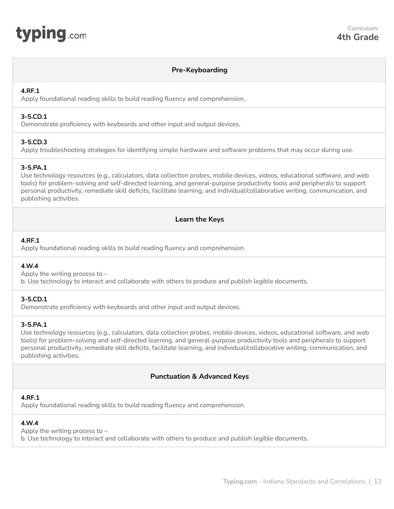<span id="page-12-0"></span>

#### **Pre-Keyboarding**

#### **4.RF.1**

Apply foundational reading skills to build reading fluency and comprehension.

## **3-5.CD.1**

Demonstrate proficiency with keyboards and other input and output devices.

## **3-5.CD.3**

Apply troubleshooting strategies for identifying simple hardware and software problems that may occur during use.

## **3-5.PA.1**

Use technology resources (e.g., calculators, data collection probes, mobile devices, videos, educational software, and web tools) for problem-solving and self-directed learning, and general-purpose productivity tools and peripherals to support personal productivity, remediate skill deficits, facilitate learning, and individual/collaborative writing, communication, and publishing activities.

## **Learn the Keys**

#### **4.RF.1**

Apply foundational reading skills to build reading fluency and comprehension.

#### **4.W.4**

Apply the writing process to – b. Use technology to interact and collaborate with others to produce and publish legible documents.

#### **3-5.CD.1**

Demonstrate proficiency with keyboards and other input and output devices.

#### **3-5.PA.1**

Use technology resources (e.g., calculators, data collection probes, mobile devices, videos, educational software, and web tools) for problem-solving and self-directed learning, and general-purpose productivity tools and peripherals to support personal productivity, remediate skill deficits, facilitate learning, and individual/collaborative writing, communication, and publishing activities.

#### **Punctuation & Advanced Keys**

#### **4.RF.1**

Apply foundational reading skills to build reading fluency and comprehension.

#### **4.W.4**

Apply the writing process to –

b. Use technology to interact and collaborate with others to produce and publish legible documents.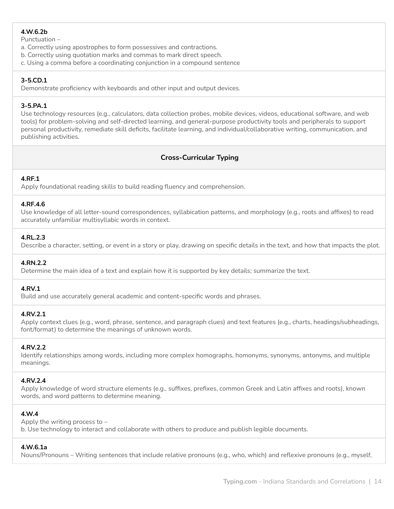# **4.W.6.2b**

Punctuation –

- a. Correctly using apostrophes to form possessives and contractions.
- b. Correctly using quotation marks and commas to mark direct speech.
- c. Using a comma before a coordinating conjunction in a compound sentence

## **3-5.CD.1**

Demonstrate proficiency with keyboards and other input and output devices.

## **3-5.PA.1**

Use technology resources (e.g., calculators, data collection probes, mobile devices, videos, educational software, and web tools) for problem-solving and self-directed learning, and general-purpose productivity tools and peripherals to support personal productivity, remediate skill deficits, facilitate learning, and individual/collaborative writing, communication, and publishing activities.

# **Cross-Curricular Typing**

## **4.RF.1**

Apply foundational reading skills to build reading fluency and comprehension.

#### **4.RF.4.6**

Use knowledge of all letter-sound correspondences, syllabication patterns, and morphology (e.g., roots and affixes) to read accurately unfamiliar multisyllabic words in context.

## **4.RL.2.3**

Describe a character, setting, or event in a story or play, drawing on specific details in the text, and how that impacts the plot.

## **4.RN.2.2**

Determine the main idea of a text and explain how it is supported by key details; summarize the text.

#### **4.RV.1**

Build and use accurately general academic and content-specific words and phrases.

## **4.RV.2.1**

Apply context clues (e.g., word, phrase, sentence, and paragraph clues) and text features (e.g., charts, headings/subheadings, font/format) to determine the meanings of unknown words.

## **4.RV.2.2**

Identify relationships among words, including more complex homographs, homonyms, synonyms, antonyms, and multiple meanings.

#### **4.RV.2.4**

Apply knowledge of word structure elements (e.g., suffixes, prefixes, common Greek and Latin affixes and roots), known words, and word patterns to determine meaning.

## **4.W.4**

Apply the writing process to – b. Use technology to interact and collaborate with others to produce and publish legible documents.

## **4.W.6.1a**

Nouns/Pronouns – Writing sentences that include relative pronouns (e.g., who, which) and reflexive pronouns (e.g., myself,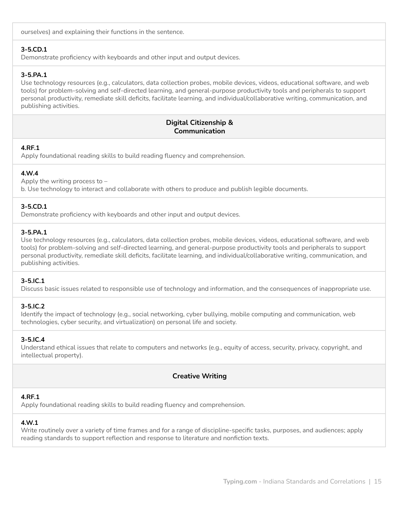ourselves) and explaining their functions in the sentence.

## **3-5.CD.1**

Demonstrate proficiency with keyboards and other input and output devices.

## **3-5.PA.1**

Use technology resources (e.g., calculators, data collection probes, mobile devices, videos, educational software, and web tools) for problem-solving and self-directed learning, and general-purpose productivity tools and peripherals to support personal productivity, remediate skill deficits, facilitate learning, and individual/collaborative writing, communication, and publishing activities.

## **Digital Citizenship & Communication**

## **4.RF.1**

Apply foundational reading skills to build reading fluency and comprehension.

## **4.W.4**

Apply the writing process to – b. Use technology to interact and collaborate with others to produce and publish legible documents.

## **3-5.CD.1**

Demonstrate proficiency with keyboards and other input and output devices.

#### **3-5.PA.1**

Use technology resources (e.g., calculators, data collection probes, mobile devices, videos, educational software, and web tools) for problem-solving and self-directed learning, and general-purpose productivity tools and peripherals to support personal productivity, remediate skill deficits, facilitate learning, and individual/collaborative writing, communication, and publishing activities.

#### **3-5.IC.1**

Discuss basic issues related to responsible use of technology and information, and the consequences of inappropriate use.

#### **3-5.IC.2**

Identify the impact of technology (e.g., social networking, cyber bullying, mobile computing and communication, web technologies, cyber security, and virtualization) on personal life and society.

#### **3-5.IC.4**

Understand ethical issues that relate to computers and networks (e.g., equity of access, security, privacy, copyright, and intellectual property).

## **Creative Writing**

#### **4.RF.1**

Apply foundational reading skills to build reading fluency and comprehension.

## **4.W.1**

Write routinely over a variety of time frames and for a range of discipline-specific tasks, purposes, and audiences; apply reading standards to support reflection and response to literature and nonfiction texts.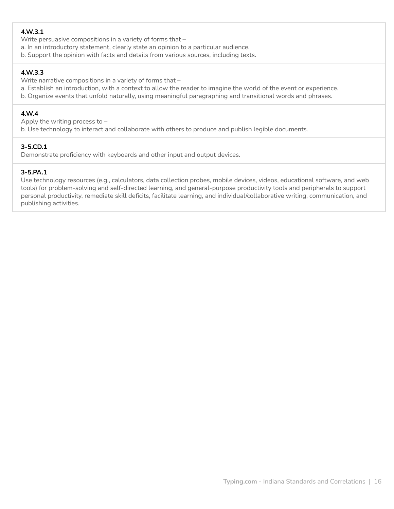# **4.W.3.1**

Write persuasive compositions in a variety of forms that –

- a. In an introductory statement, clearly state an opinion to a particular audience.
- b. Support the opinion with facts and details from various sources, including texts.

# **4.W.3.3**

Write narrative compositions in a variety of forms that –

- a. Establish an introduction, with a context to allow the reader to imagine the world of the event or experience.
- b. Organize events that unfold naturally, using meaningful paragraphing and transitional words and phrases.

## **4.W.4**

Apply the writing process to –

b. Use technology to interact and collaborate with others to produce and publish legible documents.

## **3-5.CD.1**

Demonstrate proficiency with keyboards and other input and output devices.

## **3-5.PA.1**

Use technology resources (e.g., calculators, data collection probes, mobile devices, videos, educational software, and web tools) for problem-solving and self-directed learning, and general-purpose productivity tools and peripherals to support personal productivity, remediate skill deficits, facilitate learning, and individual/collaborative writing, communication, and publishing activities.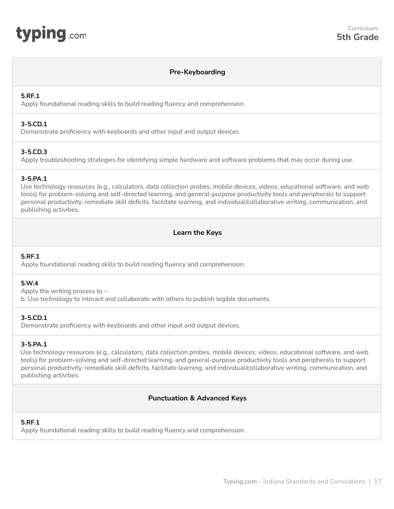<span id="page-16-0"></span>

## **Pre-Keyboarding**

#### **5.RF.1**

Apply foundational reading skills to build reading fluency and comprehension.

#### **3-5.CD.1**

Demonstrate proficiency with keyboards and other input and output devices.

## **3-5.CD.3**

Apply troubleshooting strategies for identifying simple hardware and software problems that may occur during use.

#### **3-5.PA.1**

Use technology resources (e.g., calculators, data collection probes, mobile devices, videos, educational software, and web tools) for problem-solving and self-directed learning, and general-purpose productivity tools and peripherals to support personal productivity, remediate skill deficits, facilitate learning, and individual/collaborative writing, communication, and publishing activities.

## **Learn the Keys**

## **5.RF.1**

Apply foundational reading skills to build reading fluency and comprehension.

#### **5.W.4**

Apply the writing process to –

b. Use technology to interact and collaborate with others to publish legible documents.

#### **3-5.CD.1**

Demonstrate proficiency with keyboards and other input and output devices.

#### **3-5.PA.1**

Use technology resources (e.g., calculators, data collection probes, mobile devices, videos, educational software, and web tools) for problem-solving and self-directed learning, and general-purpose productivity tools and peripherals to support personal productivity, remediate skill deficits, facilitate learning, and individual/collaborative writing, communication, and publishing activities.

## **Punctuation & Advanced Keys**

#### **5.RF.1**

Apply foundational reading skills to build reading fluency and comprehension.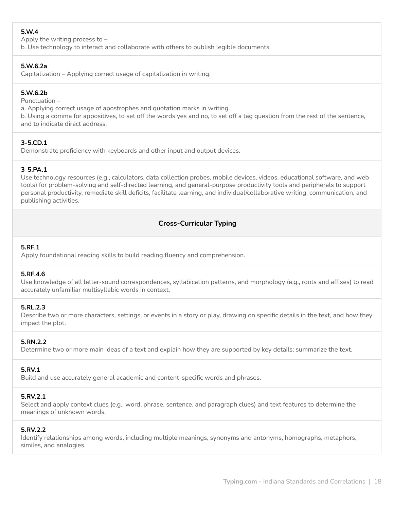# **5.W.4**

Apply the writing process to –

b. Use technology to interact and collaborate with others to publish legible documents.

## **5.W.6.2a**

Capitalization – Applying correct usage of capitalization in writing.

## **5.W.6.2b**

Punctuation –

a. Applying correct usage of apostrophes and quotation marks in writing.

b. Using a comma for appositives, to set off the words yes and no, to set off a tag question from the rest of the sentence, and to indicate direct address.

# **3-5.CD.1**

Demonstrate proficiency with keyboards and other input and output devices.

## **3-5.PA.1**

Use technology resources (e.g., calculators, data collection probes, mobile devices, videos, educational software, and web tools) for problem-solving and self-directed learning, and general-purpose productivity tools and peripherals to support personal productivity, remediate skill deficits, facilitate learning, and individual/collaborative writing, communication, and publishing activities.

# **Cross-Curricular Typing**

## **5.RF.1**

Apply foundational reading skills to build reading fluency and comprehension.

## **5.RF.4.6**

Use knowledge of all letter-sound correspondences, syllabication patterns, and morphology (e.g., roots and affixes) to read accurately unfamiliar multisyllabic words in context.

## **5.RL.2.3**

Describe two or more characters, settings, or events in a story or play, drawing on specific details in the text, and how they impact the plot.

## **5.RN.2.2**

Determine two or more main ideas of a text and explain how they are supported by key details; summarize the text.

# **5.RV.1**

Build and use accurately general academic and content-specific words and phrases.

## **5.RV.2.1**

Select and apply context clues (e.g., word, phrase, sentence, and paragraph clues) and text features to determine the meanings of unknown words.

## **5.RV.2.2**

Identify relationships among words, including multiple meanings, synonyms and antonyms, homographs, metaphors, similes, and analogies.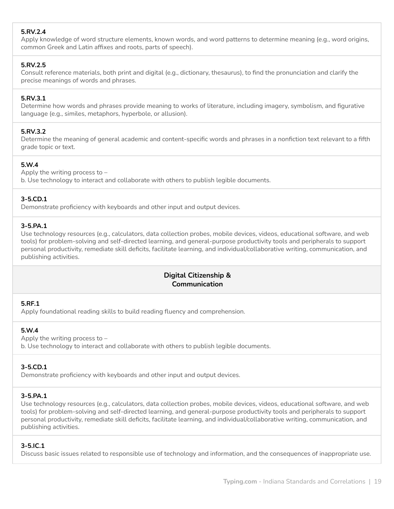# **5.RV.2.4**

Apply knowledge of word structure elements, known words, and word patterns to determine meaning (e.g., word origins, common Greek and Latin affixes and roots, parts of speech).

## **5.RV.2.5**

Consult reference materials, both print and digital (e.g., dictionary, thesaurus), to find the pronunciation and clarify the precise meanings of words and phrases.

#### **5.RV.3.1**

Determine how words and phrases provide meaning to works of literature, including imagery, symbolism, and figurative language (e.g., similes, metaphors, hyperbole, or allusion).

## **5.RV.3.2**

Determine the meaning of general academic and content-specific words and phrases in a nonfiction text relevant to a fifth grade topic or text.

## **5.W.4**

Apply the writing process to – b. Use technology to interact and collaborate with others to publish legible documents.

## **3-5.CD.1**

Demonstrate proficiency with keyboards and other input and output devices.

#### **3-5.PA.1**

Use technology resources (e.g., calculators, data collection probes, mobile devices, videos, educational software, and web tools) for problem-solving and self-directed learning, and general-purpose productivity tools and peripherals to support personal productivity, remediate skill deficits, facilitate learning, and individual/collaborative writing, communication, and publishing activities.

## **Digital Citizenship & Communication**

#### **5.RF.1**

Apply foundational reading skills to build reading fluency and comprehension.

#### **5.W.4**

Apply the writing process to – b. Use technology to interact and collaborate with others to publish legible documents.

#### **3-5.CD.1**

Demonstrate proficiency with keyboards and other input and output devices.

## **3-5.PA.1**

Use technology resources (e.g., calculators, data collection probes, mobile devices, videos, educational software, and web tools) for problem-solving and self-directed learning, and general-purpose productivity tools and peripherals to support personal productivity, remediate skill deficits, facilitate learning, and individual/collaborative writing, communication, and publishing activities.

#### **3-5.IC.1**

Discuss basic issues related to responsible use of technology and information, and the consequences of inappropriate use.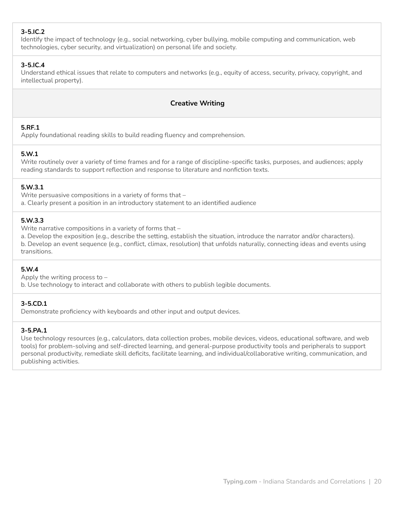# **3-5.IC.2**

Identify the impact of technology (e.g., social networking, cyber bullying, mobile computing and communication, web technologies, cyber security, and virtualization) on personal life and society.

## **3-5.IC.4**

Understand ethical issues that relate to computers and networks (e.g., equity of access, security, privacy, copyright, and intellectual property).

# **Creative Writing**

## **5.RF.1**

Apply foundational reading skills to build reading fluency and comprehension.

## **5.W.1**

Write routinely over a variety of time frames and for a range of discipline-specific tasks, purposes, and audiences; apply reading standards to support reflection and response to literature and nonfiction texts.

## **5.W.3.1**

Write persuasive compositions in a variety of forms that – a. Clearly present a position in an introductory statement to an identified audience

## **5.W.3.3**

Write narrative compositions in a variety of forms that –

a. Develop the exposition (e.g., describe the setting, establish the situation, introduce the narrator and/or characters). b. Develop an event sequence (e.g., conflict, climax, resolution) that unfolds naturally, connecting ideas and events using transitions.

#### **5.W.4**

Apply the writing process to –

b. Use technology to interact and collaborate with others to publish legible documents.

#### **3-5.CD.1**

Demonstrate proficiency with keyboards and other input and output devices.

#### **3-5.PA.1**

Use technology resources (e.g., calculators, data collection probes, mobile devices, videos, educational software, and web tools) for problem-solving and self-directed learning, and general-purpose productivity tools and peripherals to support personal productivity, remediate skill deficits, facilitate learning, and individual/collaborative writing, communication, and publishing activities.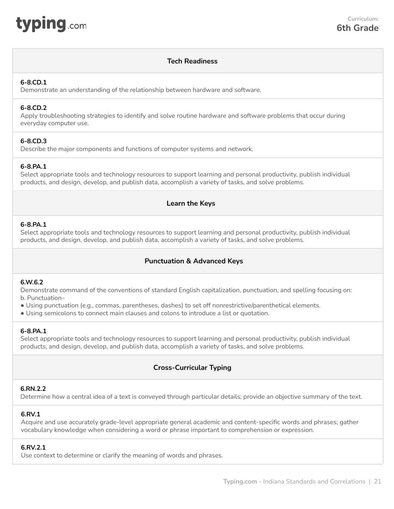<span id="page-20-0"></span>

## **Tech Readiness**

#### **6-8.CD.1**

Demonstrate an understanding of the relationship between hardware and software.

#### **6-8.CD.2**

Apply troubleshooting strategies to identify and solve routine hardware and software problems that occur during everyday computer use.

#### **6-8.CD.3**

Describe the major components and functions of computer systems and network.

## **6-8.PA.1**

Select appropriate tools and technology resources to support learning and personal productivity, publish individual products, and design, develop, and publish data, accomplish a variety of tasks, and solve problems.

## **Learn the Keys**

#### **6-8.PA.1**

Select appropriate tools and technology resources to support learning and personal productivity, publish individual products, and design, develop, and publish data, accomplish a variety of tasks, and solve problems.

## **Punctuation & Advanced Keys**

#### **6.W.6.2**

Demonstrate command of the conventions of standard English capitalization, punctuation, and spelling focusing on: b. Punctuation–

- Using punctuation (e.g., commas, parentheses, dashes) to set off nonrestrictive/parenthetical elements.
- Using semicolons to connect main clauses and colons to introduce a list or quotation.

#### **6-8.PA.1**

Select appropriate tools and technology resources to support learning and personal productivity, publish individual products, and design, develop, and publish data, accomplish a variety of tasks, and solve problems.

# **Cross-Curricular Typing**

#### **6.RN.2.2**

Determine how a central idea of a text is conveyed through particular details; provide an objective summary of the text.

#### **6.RV.1**

Acquire and use accurately grade-level appropriate general academic and content-specific words and phrases; gather vocabulary knowledge when considering a word or phrase important to comprehension or expression.

#### **6.RV.2.1**

Use context to determine or clarify the meaning of words and phrases.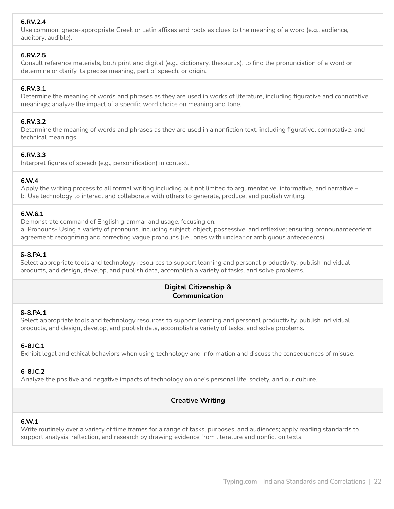## **6.RV.2.4**

Use common, grade-appropriate Greek or Latin affixes and roots as clues to the meaning of a word (e.g., audience, auditory, audible).

#### **6.RV.2.5**

Consult reference materials, both print and digital (e.g., dictionary, thesaurus), to find the pronunciation of a word or determine or clarify its precise meaning, part of speech, or origin.

## **6.RV.3.1**

Determine the meaning of words and phrases as they are used in works of literature, including figurative and connotative meanings; analyze the impact of a specific word choice on meaning and tone.

#### **6.RV.3.2**

Determine the meaning of words and phrases as they are used in a nonfiction text, including figurative, connotative, and technical meanings.

#### **6.RV.3.3**

Interpret figures of speech (e.g., personification) in context.

## **6.W.4**

Apply the writing process to all formal writing including but not limited to argumentative, informative, and narrative – b. Use technology to interact and collaborate with others to generate, produce, and publish writing.

#### **6.W.6.1**

Demonstrate command of English grammar and usage, focusing on:

a. Pronouns- Using a variety of pronouns, including subject, object, possessive, and reflexive; ensuring pronounantecedent agreement; recognizing and correcting vague pronouns (i.e., ones with unclear or ambiguous antecedents).

#### **6-8.PA.1**

Select appropriate tools and technology resources to support learning and personal productivity, publish individual products, and design, develop, and publish data, accomplish a variety of tasks, and solve problems.

## **Digital Citizenship & Communication**

#### **6-8.PA.1**

Select appropriate tools and technology resources to support learning and personal productivity, publish individual products, and design, develop, and publish data, accomplish a variety of tasks, and solve problems.

#### **6-8.IC.1**

Exhibit legal and ethical behaviors when using technology and information and discuss the consequences of misuse.

#### **6-8.IC.2**

Analyze the positive and negative impacts of technology on one's personal life, society, and our culture.

## **Creative Writing**

#### **6.W.1**

Write routinely over a variety of time frames for a range of tasks, purposes, and audiences; apply reading standards to support analysis, reflection, and research by drawing evidence from literature and nonfiction texts.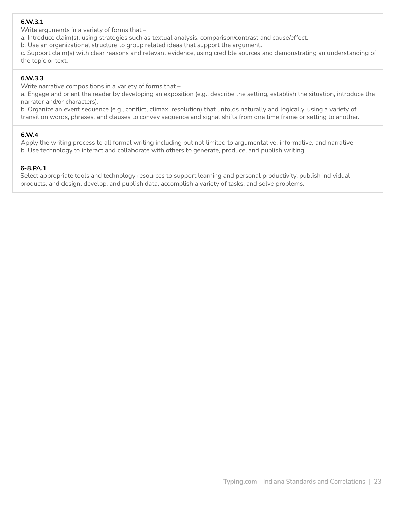## **6.W.3.1**

Write arguments in a variety of forms that –

a. Introduce claim(s), using strategies such as textual analysis, comparison/contrast and cause/effect.

b. Use an organizational structure to group related ideas that support the argument.

c. Support claim(s) with clear reasons and relevant evidence, using credible sources and demonstrating an understanding of the topic or text.

## **6.W.3.3**

Write narrative compositions in a variety of forms that –

a. Engage and orient the reader by developing an exposition (e.g., describe the setting, establish the situation, introduce the narrator and/or characters).

b. Organize an event sequence (e.g., conflict, climax, resolution) that unfolds naturally and logically, using a variety of transition words, phrases, and clauses to convey sequence and signal shifts from one time frame or setting to another.

## **6.W.4**

Apply the writing process to all formal writing including but not limited to argumentative, informative, and narrative – b. Use technology to interact and collaborate with others to generate, produce, and publish writing.

## **6-8.PA.1**

Select appropriate tools and technology resources to support learning and personal productivity, publish individual products, and design, develop, and publish data, accomplish a variety of tasks, and solve problems.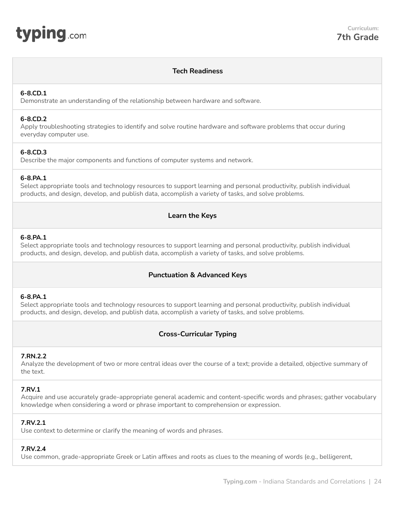<span id="page-23-0"></span>

## **Tech Readiness**

#### **6-8.CD.1**

Demonstrate an understanding of the relationship between hardware and software.

#### **6-8.CD.2**

Apply troubleshooting strategies to identify and solve routine hardware and software problems that occur during everyday computer use.

## **6-8.CD.3**

Describe the major components and functions of computer systems and network.

#### **6-8.PA.1**

Select appropriate tools and technology resources to support learning and personal productivity, publish individual products, and design, develop, and publish data, accomplish a variety of tasks, and solve problems.

## **Learn the Keys**

#### **6-8.PA.1**

Select appropriate tools and technology resources to support learning and personal productivity, publish individual products, and design, develop, and publish data, accomplish a variety of tasks, and solve problems.

## **Punctuation & Advanced Keys**

#### **6-8.PA.1**

Select appropriate tools and technology resources to support learning and personal productivity, publish individual products, and design, develop, and publish data, accomplish a variety of tasks, and solve problems.

## **Cross-Curricular Typing**

#### **7.RN.2.2**

Analyze the development of two or more central ideas over the course of a text; provide a detailed, objective summary of the text.

#### **7.RV.1**

Acquire and use accurately grade-appropriate general academic and content-specific words and phrases; gather vocabulary knowledge when considering a word or phrase important to comprehension or expression.

#### **7.RV.2.1**

Use context to determine or clarify the meaning of words and phrases.

## **7.RV.2.4**

Use common, grade-appropriate Greek or Latin affixes and roots as clues to the meaning of words (e.g., belligerent,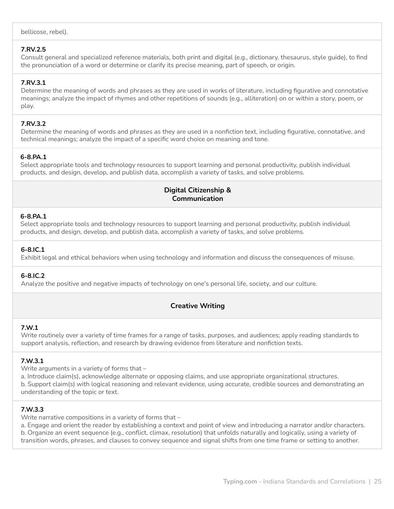bellicose, rebel).

## **7.RV.2.5**

Consult general and specialized reference materials, both print and digital (e.g., dictionary, thesaurus, style guide), to find the pronunciation of a word or determine or clarify its precise meaning, part of speech, or origin.

## **7.RV.3.1**

Determine the meaning of words and phrases as they are used in works of literature, including figurative and connotative meanings; analyze the impact of rhymes and other repetitions of sounds (e.g., alliteration) on or within a story, poem, or play.

## **7.RV.3.2**

Determine the meaning of words and phrases as they are used in a nonfiction text, including figurative, connotative, and technical meanings; analyze the impact of a specific word choice on meaning and tone.

## **6-8.PA.1**

Select appropriate tools and technology resources to support learning and personal productivity, publish individual products, and design, develop, and publish data, accomplish a variety of tasks, and solve problems.

## **Digital Citizenship & Communication**

## **6-8.PA.1**

Select appropriate tools and technology resources to support learning and personal productivity, publish individual products, and design, develop, and publish data, accomplish a variety of tasks, and solve problems.

## **6-8.IC.1**

Exhibit legal and ethical behaviors when using technology and information and discuss the consequences of misuse.

## **6-8.IC.2**

Analyze the positive and negative impacts of technology on one's personal life, society, and our culture.

# **Creative Writing**

## **7.W.1**

Write routinely over a variety of time frames for a range of tasks, purposes, and audiences; apply reading standards to support analysis, reflection, and research by drawing evidence from literature and nonfiction texts.

## **7.W.3.1**

Write arguments in a variety of forms that –

a. Introduce claim(s), acknowledge alternate or opposing claims, and use appropriate organizational structures. b. Support claim(s) with logical reasoning and relevant evidence, using accurate, credible sources and demonstrating an understanding of the topic or text.

## **7.W.3.3**

Write narrative compositions in a variety of forms that –

a. Engage and orient the reader by establishing a context and point of view and introducing a narrator and/or characters. b. Organize an event sequence (e.g., conflict, climax, resolution) that unfolds naturally and logically, using a variety of transition words, phrases, and clauses to convey sequence and signal shifts from one time frame or setting to another.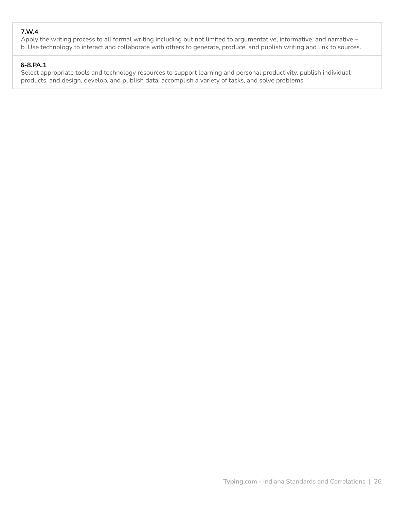# **7.W.4**

Apply the writing process to all formal writing including but not limited to argumentative, informative, and narrative – b. Use technology to interact and collaborate with others to generate, produce, and publish writing and link to sources.

## **6-8.PA.1**

Select appropriate tools and technology resources to support learning and personal productivity, publish individual products, and design, develop, and publish data, accomplish a variety of tasks, and solve problems.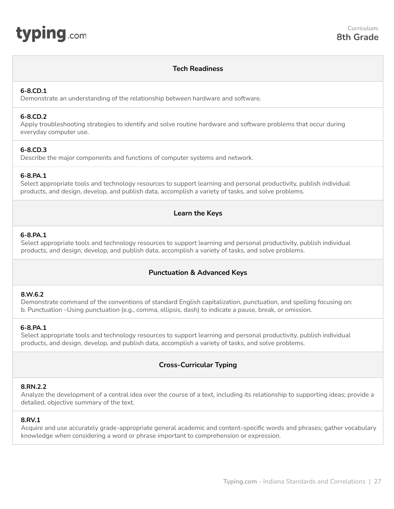<span id="page-26-0"></span>

#### **Tech Readiness**

#### **6-8.CD.1**

Demonstrate an understanding of the relationship between hardware and software.

#### **6-8.CD.2**

Apply troubleshooting strategies to identify and solve routine hardware and software problems that occur during everyday computer use.

#### **6-8.CD.3**

Describe the major components and functions of computer systems and network.

#### **6-8.PA.1**

Select appropriate tools and technology resources to support learning and personal productivity, publish individual products, and design, develop, and publish data, accomplish a variety of tasks, and solve problems.

#### **Learn the Keys**

#### **6-8.PA.1**

Select appropriate tools and technology resources to support learning and personal productivity, publish individual products, and design, develop, and publish data, accomplish a variety of tasks, and solve problems.

## **Punctuation & Advanced Keys**

#### **8.W.6.2**

Demonstrate command of the conventions of standard English capitalization, punctuation, and spelling focusing on: b. Punctuation –Using punctuation (e.g., comma, ellipsis, dash) to indicate a pause, break, or omission.

#### **6-8.PA.1**

Select appropriate tools and technology resources to support learning and personal productivity, publish individual products, and design, develop, and publish data, accomplish a variety of tasks, and solve problems.

#### **Cross-Curricular Typing**

#### **8.RN.2.2**

Analyze the development of a central idea over the course of a text, including its relationship to supporting ideas; provide a detailed, objective summary of the text.

#### **8.RV.1**

Acquire and use accurately grade-appropriate general academic and content-specific words and phrases; gather vocabulary knowledge when considering a word or phrase important to comprehension or expression.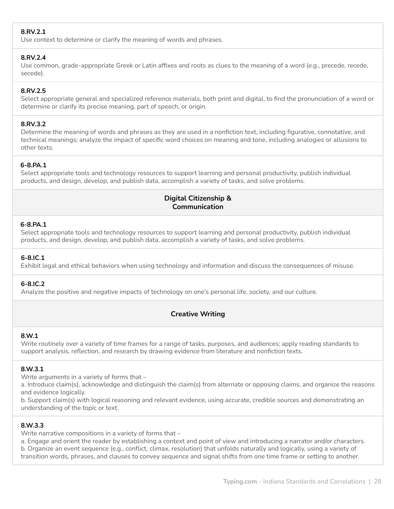# **8.RV.2.1**

Use context to determine or clarify the meaning of words and phrases.

#### **8.RV.2.4**

Use common, grade-appropriate Greek or Latin affixes and roots as clues to the meaning of a word (e.g., precede, recede, secede).

## **8.RV.2.5**

Select appropriate general and specialized reference materials, both print and digital, to find the pronunciation of a word or determine or clarify its precise meaning, part of speech, or origin.

## **8.RV.3.2**

Determine the meaning of words and phrases as they are used in a nonfiction text, including figurative, connotative, and technical meanings; analyze the impact of specific word choices on meaning and tone, including analogies or allusions to other texts.

# **6-8.PA.1**

Select appropriate tools and technology resources to support learning and personal productivity, publish individual products, and design, develop, and publish data, accomplish a variety of tasks, and solve problems.

## **Digital Citizenship & Communication**

## **6-8.PA.1**

Select appropriate tools and technology resources to support learning and personal productivity, publish individual products, and design, develop, and publish data, accomplish a variety of tasks, and solve problems.

# **6-8.IC.1**

Exhibit legal and ethical behaviors when using technology and information and discuss the consequences of misuse.

## **6-8.IC.2**

Analyze the positive and negative impacts of technology on one's personal life, society, and our culture.

# **Creative Writing**

## **8.W.1**

Write routinely over a variety of time frames for a range of tasks, purposes, and audiences; apply reading standards to support analysis, reflection, and research by drawing evidence from literature and nonfiction texts.

## **8.W.3.1**

Write arguments in a variety of forms that –

a. Introduce claim(s), acknowledge and distinguish the claim(s) from alternate or opposing claims, and organize the reasons and evidence logically.

b. Support claim(s) with logical reasoning and relevant evidence, using accurate, credible sources and demonstrating an understanding of the topic or text.

## **8.W.3.3**

Write narrative compositions in a variety of forms that –

a. Engage and orient the reader by establishing a context and point of view and introducing a narrator and/or characters. b. Organize an event sequence (e.g., conflict, climax, resolution) that unfolds naturally and logically, using a variety of transition words, phrases, and clauses to convey sequence and signal shifts from one time frame or setting to another.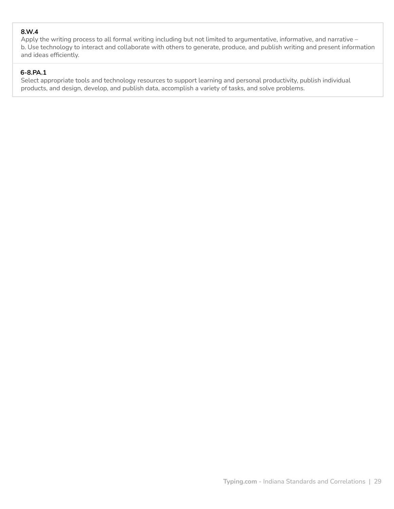## **8.W.4**

Apply the writing process to all formal writing including but not limited to argumentative, informative, and narrative – b. Use technology to interact and collaborate with others to generate, produce, and publish writing and present information and ideas efficiently.

## **6-8.PA.1**

Select appropriate tools and technology resources to support learning and personal productivity, publish individual products, and design, develop, and publish data, accomplish a variety of tasks, and solve problems.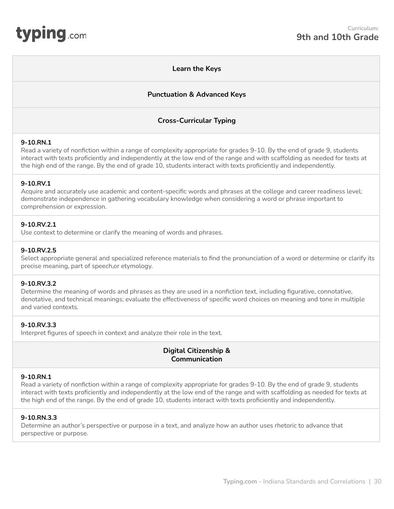#### **Learn the Keys**

## **Punctuation & Advanced Keys**

## **Cross-Curricular Typing**

#### <span id="page-29-0"></span>**9-10.RN.1**

Read a variety of nonfiction within a range of complexity appropriate for grades 9-10. By the end of grade 9, students interact with texts proficiently and independently at the low end of the range and with scaffolding as needed for texts at the high end of the range. By the end of grade 10, students interact with texts proficiently and independently.

#### **9-10.RV.1**

Acquire and accurately use academic and content-specific words and phrases at the college and career readiness level; demonstrate independence in gathering vocabulary knowledge when considering a word or phrase important to comprehension or expression.

#### **9-10.RV.2.1**

Use context to determine or clarify the meaning of words and phrases.

#### **9-10.RV.2.5**

Select appropriate general and specialized reference materials to find the pronunciation of a word or determine or clarify its precise meaning, part of speech,or etymology.

#### **9-10.RV.3.2**

Determine the meaning of words and phrases as they are used in a nonfiction text, including figurative, connotative, denotative, and technical meanings; evaluate the effectiveness of specific word choices on meaning and tone in multiple and varied contexts.

#### **9-10.RV.3.3**

Interpret figures of speech in context and analyze their role in the text.

# **Digital Citizenship & Communication**

## **9-10.RN.1**

Read a variety of nonfiction within a range of complexity appropriate for grades 9-10. By the end of grade 9, students interact with texts proficiently and independently at the low end of the range and with scaffolding as needed for texts at the high end of the range. By the end of grade 10, students interact with texts proficiently and independently.

## **9-10.RN.3.3**

Determine an author's perspective or purpose in a text, and analyze how an author uses rhetoric to advance that perspective or purpose.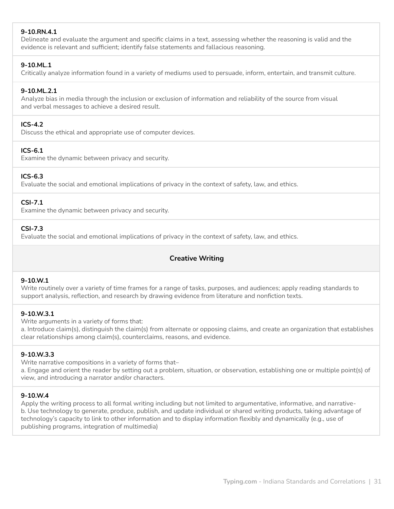## **9-10.RN.4.1**

Delineate and evaluate the argument and specific claims in a text, assessing whether the reasoning is valid and the evidence is relevant and sufficient; identify false statements and fallacious reasoning.

## **9-10.ML.1**

Critically analyze information found in a variety of mediums used to persuade, inform, entertain, and transmit culture.

## **9-10.ML.2.1**

Analyze bias in media through the inclusion or exclusion of information and reliability of the source from visual and verbal messages to achieve a desired result.

#### **ICS-4.2**

Discuss the ethical and appropriate use of computer devices.

## **ICS-6.1**

Examine the dynamic between privacy and security.

## **ICS-6.3**

Evaluate the social and emotional implications of privacy in the context of safety, law, and ethics.

## **CSI-7.1**

Examine the dynamic between privacy and security.

#### **CSI-7.3**

Evaluate the social and emotional implications of privacy in the context of safety, law, and ethics.

# **Creative Writing**

#### **9-10.W.1**

Write routinely over a variety of time frames for a range of tasks, purposes, and audiences; apply reading standards to support analysis, reflection, and research by drawing evidence from literature and nonfiction texts.

#### **9-10.W.3.1**

Write arguments in a variety of forms that:

a. Introduce claim(s), distinguish the claim(s) from alternate or opposing claims, and create an organization that establishes clear relationships among claim(s), counterclaims, reasons, and evidence.

#### **9-10.W.3.3**

Write narrative compositions in a variety of forms that–

a. Engage and orient the reader by setting out a problem, situation, or observation, establishing one or multiple point(s) of view, and introducing a narrator and/or characters.

#### **9-10.W.4**

Apply the writing process to all formal writing including but not limited to argumentative, informative, and narrativeb. Use technology to generate, produce, publish, and update individual or shared writing products, taking advantage of technology's capacity to link to other information and to display information flexibly and dynamically (e.g., use of publishing programs, integration of multimedia)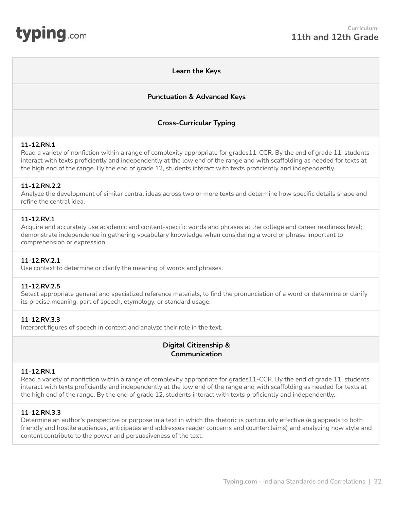## **Learn the Keys**

## **Punctuation & Advanced Keys**

## **Cross-Curricular Typing**

#### <span id="page-31-0"></span>**11-12.RN.1**

Read a variety of nonfiction within a range of complexity appropriate for grades11-CCR. By the end of grade 11, students interact with texts proficiently and independently at the low end of the range and with scaffolding as needed for texts at the high end of the range. By the end of grade 12, students interact with texts proficiently and independently.

#### **11-12.RN.2.2**

Analyze the development of similar central ideas across two or more texts and determine how specific details shape and refine the central idea.

#### **11-12.RV.1**

Acquire and accurately use academic and content-specific words and phrases at the college and career readiness level; demonstrate independence in gathering vocabulary knowledge when considering a word or phrase important to comprehension or expression.

#### **11-12.RV.2.1**

Use context to determine or clarify the meaning of words and phrases.

#### **11-12.RV.2.5**

Select appropriate general and specialized reference materials, to find the pronunciation of a word or determine or clarify its precise meaning, part of speech, etymology, or standard usage.

#### **11-12.RV.3.3**

Interpret figures of speech in context and analyze their role in the text.

## **Digital Citizenship & Communication**

#### **11-12.RN.1**

Read a variety of nonfiction within a range of complexity appropriate for grades11-CCR. By the end of grade 11, students interact with texts proficiently and independently at the low end of the range and with scaffolding as needed for texts at the high end of the range. By the end of grade 12, students interact with texts proficiently and independently.

#### **11-12.RN.3.3**

Determine an author's perspective or purpose in a text in which the rhetoric is particularly effective (e.g.appeals to both friendly and hostile audiences, anticipates and addresses reader concerns and counterclaims) and analyzing how style and content contribute to the power and persuasiveness of the text.